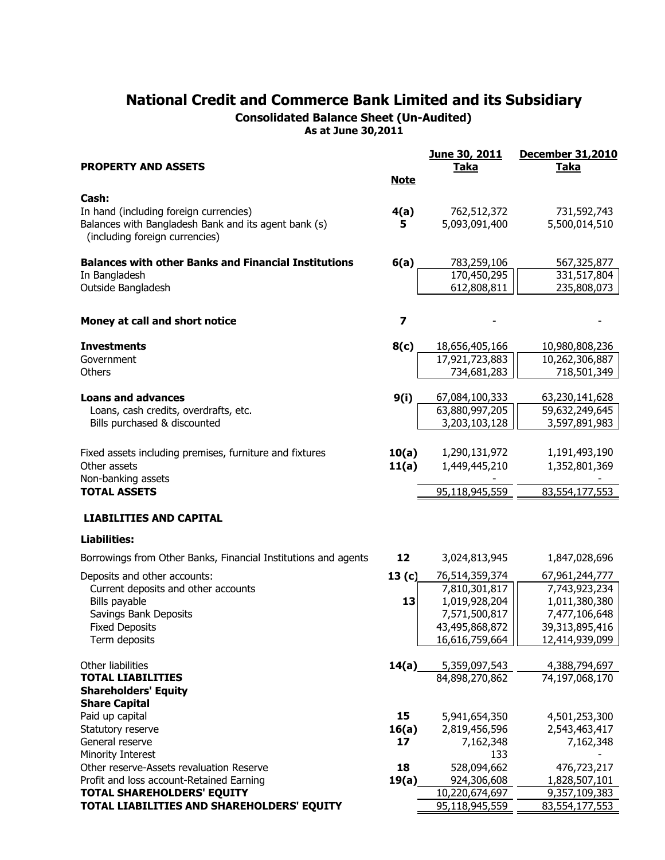Consolidated Balance Sheet (Un-Audited)

As at June 30,2011

| <b>PROPERTY AND ASSETS</b>                                                             | <b>Note</b>             | June 30, 2011<br><b>Taka</b> | <b>December 31,2010</b><br><b>Taka</b> |
|----------------------------------------------------------------------------------------|-------------------------|------------------------------|----------------------------------------|
| Cash:                                                                                  |                         |                              |                                        |
| In hand (including foreign currencies)                                                 | 4(a)                    | 762,512,372                  | 731,592,743                            |
| Balances with Bangladesh Bank and its agent bank (s)<br>(including foreign currencies) | 5                       | 5,093,091,400                | 5,500,014,510                          |
| <b>Balances with other Banks and Financial Institutions</b>                            | 6(a)                    | 783,259,106                  | 567, 325, 877                          |
| In Bangladesh                                                                          |                         | 170,450,295                  | 331,517,804                            |
| Outside Bangladesh                                                                     |                         | 612,808,811                  | 235,808,073                            |
| Money at call and short notice                                                         | $\overline{\mathbf{z}}$ |                              |                                        |
| <b>Investments</b>                                                                     | 8(c)                    | 18,656,405,166               | 10,980,808,236                         |
| Government                                                                             |                         | 17,921,723,883               | 10,262,306,887                         |
| Others                                                                                 |                         | 734,681,283                  | 718,501,349                            |
| <b>Loans and advances</b>                                                              | 9(i)                    | 67,084,100,333               | 63,230,141,628                         |
| Loans, cash credits, overdrafts, etc.                                                  |                         | 63,880,997,205               | 59,632,249,645                         |
| Bills purchased & discounted                                                           |                         | 3,203,103,128                | 3,597,891,983                          |
|                                                                                        |                         |                              |                                        |
| Fixed assets including premises, furniture and fixtures                                | 10(a)                   | 1,290,131,972                | 1,191,493,190                          |
| Other assets                                                                           | 11(a)                   | 1,449,445,210                | 1,352,801,369                          |
| Non-banking assets<br><b>TOTAL ASSETS</b>                                              |                         | 95,118,945,559               | 83,554,177,553                         |
| <b>LIABILITIES AND CAPITAL</b>                                                         |                         |                              |                                        |
| <b>Liabilities:</b>                                                                    |                         |                              |                                        |
| Borrowings from Other Banks, Financial Institutions and agents                         | 12                      | 3,024,813,945                | 1,847,028,696                          |
| Deposits and other accounts:                                                           | 13(c)                   | 76,514,359,374               | 67,961,244,777                         |
| Current deposits and other accounts                                                    |                         | 7,810,301,817                | 7,743,923,234                          |
| Bills payable                                                                          | 13                      | 1,019,928,204                | 1,011,380,380                          |
| Savings Bank Deposits                                                                  |                         | 7,571,500,817                | 7,477,106,648                          |
| <b>Fixed Deposits</b>                                                                  |                         | 43,495,868,872               | 39,313,895,416                         |
| Term deposits                                                                          |                         | 16,616,759,664               | 12,414,939,099                         |
| Other liabilities                                                                      | 14(a)                   | 5,359,097,543                | 4,388,794,697                          |
| <b>TOTAL LIABILITIES</b>                                                               |                         | 84,898,270,862               | 74,197,068,170                         |
| <b>Shareholders' Equity</b><br><b>Share Capital</b>                                    |                         |                              |                                        |
| Paid up capital                                                                        | 15                      | 5,941,654,350                | 4,501,253,300                          |
| Statutory reserve                                                                      | 16(a)                   | 2,819,456,596                | 2,543,463,417                          |
| General reserve                                                                        | 17                      | 7,162,348                    | 7,162,348                              |
| Minority Interest                                                                      |                         | 133                          |                                        |
| Other reserve-Assets revaluation Reserve                                               | 18                      | 528,094,662                  | 476,723,217                            |
| Profit and loss account-Retained Earning                                               | 19(a)                   | 924,306,608                  | 1,828,507,101                          |
| <b>TOTAL SHAREHOLDERS' EQUITY</b>                                                      |                         | 10,220,674,697               | 9,357,109,383                          |
| TOTAL LIABILITIES AND SHAREHOLDERS' EQUITY                                             |                         | 95,118,945,559               | 83,554,177,553                         |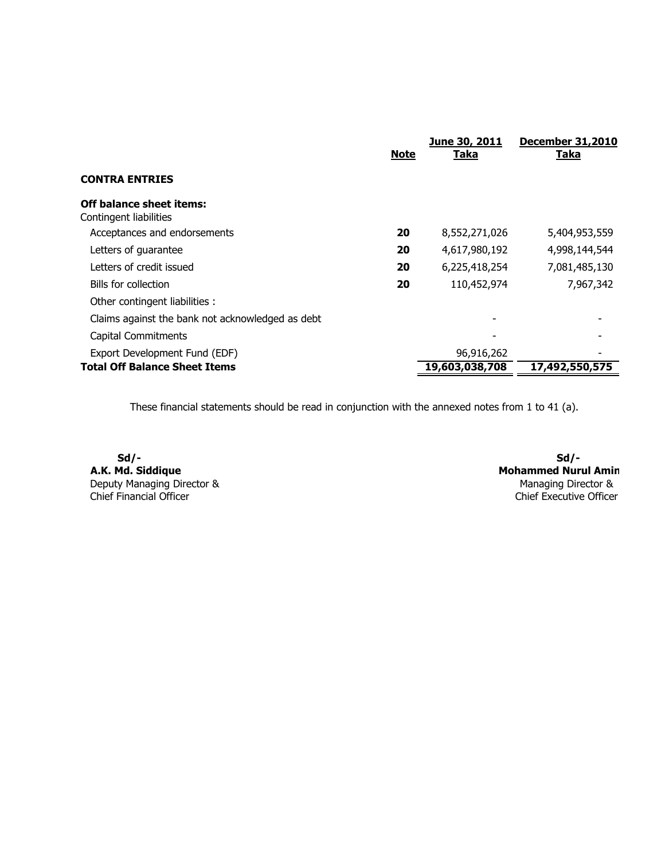|                                                           | <b>Note</b> | June 30, 2011<br><b>Taka</b> | <b>December 31,2010</b><br><u>Taka</u> |
|-----------------------------------------------------------|-------------|------------------------------|----------------------------------------|
| <b>CONTRA ENTRIES</b>                                     |             |                              |                                        |
| <b>Off balance sheet items:</b><br>Contingent liabilities |             |                              |                                        |
| Acceptances and endorsements                              | 20          | 8,552,271,026                | 5,404,953,559                          |
| Letters of guarantee                                      | 20          | 4,617,980,192                | 4,998,144,544                          |
| Letters of credit issued                                  | 20          | 6,225,418,254                | 7,081,485,130                          |
| Bills for collection                                      | 20          | 110,452,974                  | 7,967,342                              |
| Other contingent liabilities :                            |             |                              |                                        |
| Claims against the bank not acknowledged as debt          |             |                              |                                        |
| <b>Capital Commitments</b>                                |             |                              |                                        |
| Export Development Fund (EDF)                             |             | 96,916,262                   |                                        |
| <b>Total Off Balance Sheet Items</b>                      |             | 19,603,038,708               | 17,492,550,575                         |

These financial statements should be read in conjunction with the annexed notes from 1 to 41 (a).

Sd/- Sd/- A.K. Md. Siddique Deputy Managing Director & Chief Financial Officer

 Mohammed Nurul Amin Managing Director & Chief Executive Officer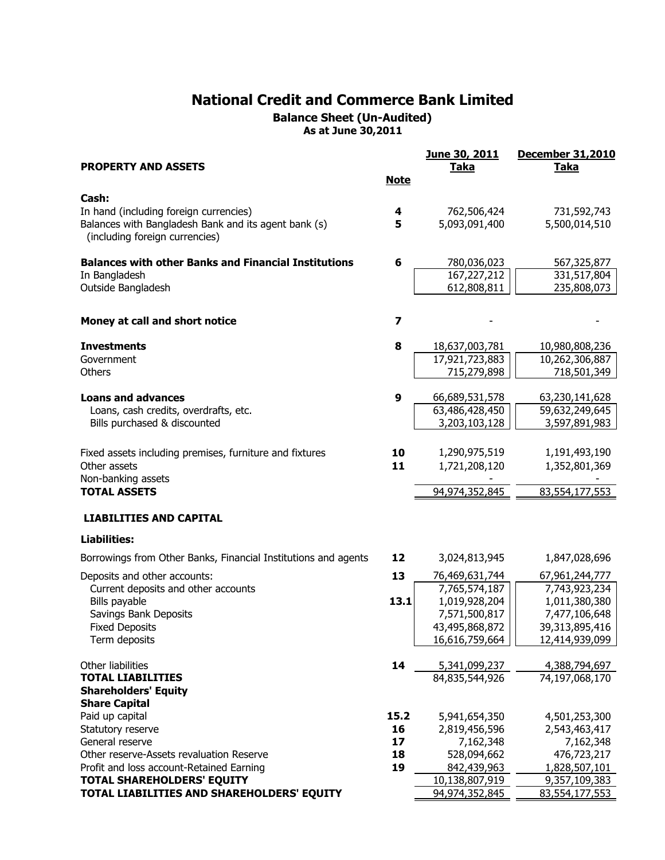Balance Sheet (Un-Audited) As at June 30,2011

|                                                                         |             | June 30, 2011                   | <b>December 31,2010</b>         |
|-------------------------------------------------------------------------|-------------|---------------------------------|---------------------------------|
| <b>PROPERTY AND ASSETS</b>                                              |             | <b>Taka</b>                     | <b>Taka</b>                     |
|                                                                         | <b>Note</b> |                                 |                                 |
| Cash:                                                                   |             |                                 |                                 |
| In hand (including foreign currencies)                                  | 4           | 762,506,424                     | 731,592,743                     |
| Balances with Bangladesh Bank and its agent bank (s)                    | 5           | 5,093,091,400                   | 5,500,014,510                   |
| (including foreign currencies)                                          |             |                                 |                                 |
|                                                                         |             |                                 |                                 |
| <b>Balances with other Banks and Financial Institutions</b>             | 6           | 780,036,023                     | 567,325,877                     |
| In Bangladesh                                                           |             | 167,227,212                     | 331,517,804                     |
| Outside Bangladesh                                                      |             | 612,808,811                     | 235,808,073                     |
|                                                                         |             |                                 |                                 |
| Money at call and short notice                                          | 7           |                                 |                                 |
|                                                                         |             |                                 |                                 |
| <b>Investments</b>                                                      | 8           | 18,637,003,781                  | 10,980,808,236                  |
| Government                                                              |             | 17,921,723,883                  | 10,262,306,887                  |
| Others                                                                  |             | 715,279,898                     | 718,501,349                     |
|                                                                         |             |                                 |                                 |
| <b>Loans and advances</b>                                               | 9           | 66,689,531,578                  | 63,230,141,628                  |
| Loans, cash credits, overdrafts, etc.<br>Bills purchased & discounted   |             | 63,486,428,450<br>3,203,103,128 | 59,632,249,645<br>3,597,891,983 |
|                                                                         |             |                                 |                                 |
|                                                                         |             |                                 |                                 |
| Fixed assets including premises, furniture and fixtures<br>Other assets | 10<br>11    | 1,290,975,519                   | 1,191,493,190                   |
| Non-banking assets                                                      |             | 1,721,208,120                   | 1,352,801,369                   |
| <b>TOTAL ASSETS</b>                                                     |             | 94,974,352,845                  | 83,554,177,553                  |
|                                                                         |             |                                 |                                 |
| <b>LIABILITIES AND CAPITAL</b>                                          |             |                                 |                                 |
| <b>Liabilities:</b>                                                     |             |                                 |                                 |
| Borrowings from Other Banks, Financial Institutions and agents          | 12          | 3,024,813,945                   | 1,847,028,696                   |
| Deposits and other accounts:                                            | 13          | 76,469,631,744                  | 67,961,244,777                  |
| Current deposits and other accounts                                     |             | 7,765,574,187                   | 7,743,923,234                   |
| Bills payable                                                           | 13.1        | 1,019,928,204                   | 1,011,380,380                   |
| Savings Bank Deposits                                                   |             | 7,571,500,817                   | 7,477,106,648                   |
| <b>Fixed Deposits</b>                                                   |             | 43,495,868,872                  | 39,313,895,416                  |
| Term deposits                                                           |             | 16,616,759,664                  | 12,414,939,099                  |
| Other liabilities                                                       | 14          | 5,341,099,237                   |                                 |
| <b>TOTAL LIABILITIES</b>                                                |             | 84,835,544,926                  | 4,388,794,697<br>74,197,068,170 |
| <b>Shareholders' Equity</b>                                             |             |                                 |                                 |
| <b>Share Capital</b>                                                    |             |                                 |                                 |
| Paid up capital                                                         | 15.2        | 5,941,654,350                   | 4,501,253,300                   |
| Statutory reserve                                                       | 16          | 2,819,456,596                   | 2,543,463,417                   |
| General reserve                                                         | 17          | 7,162,348                       | 7,162,348                       |
| Other reserve-Assets revaluation Reserve                                | 18          | 528,094,662                     | 476,723,217                     |
| Profit and loss account-Retained Earning                                | 19          | 842,439,963                     | 1,828,507,101                   |
| <b>TOTAL SHAREHOLDERS' EQUITY</b>                                       |             | 10,138,807,919                  | 9,357,109,383                   |
| TOTAL LIABILITIES AND SHAREHOLDERS' EQUITY                              |             | 94,974,352,845                  | 83,554,177,553                  |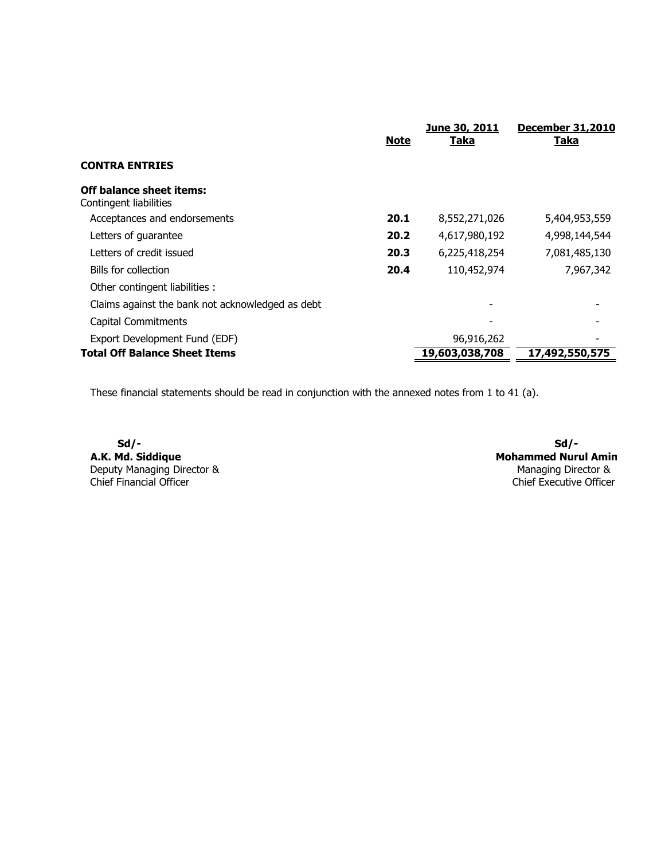|                                                           | <b>Note</b> | June 30, 2011<br><b>Taka</b> | <b>December 31,2010</b><br><u>Taka</u> |
|-----------------------------------------------------------|-------------|------------------------------|----------------------------------------|
| <b>CONTRA ENTRIES</b>                                     |             |                              |                                        |
| <b>Off balance sheet items:</b><br>Contingent liabilities |             |                              |                                        |
| Acceptances and endorsements                              | 20.1        | 8,552,271,026                | 5,404,953,559                          |
| Letters of guarantee                                      | 20.2        | 4,617,980,192                | 4,998,144,544                          |
| Letters of credit issued                                  | 20.3        | 6,225,418,254                | 7,081,485,130                          |
| Bills for collection                                      | 20.4        | 110,452,974                  | 7,967,342                              |
| Other contingent liabilities :                            |             |                              |                                        |
| Claims against the bank not acknowledged as debt          |             |                              |                                        |
| Capital Commitments                                       |             |                              |                                        |
| Export Development Fund (EDF)                             |             | 96,916,262                   |                                        |
| <b>Total Off Balance Sheet Items</b>                      |             | 19,603,038,708               | 17,492,550,575                         |

These financial statements should be read in conjunction with the annexed notes from 1 to 41 (a).

Sd/- Sd/- A.K. Md. Siddique Deputy Managing Director & Chief Financial Officer

 Mohammed Nurul Amin Managing Director & Chief Executive Officer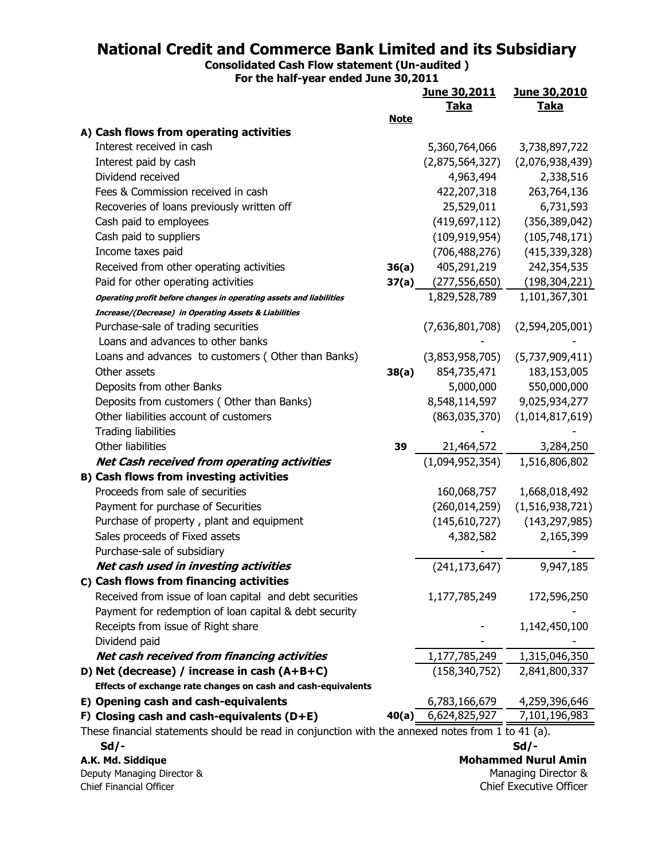Consolidated Cash Flow statement (Un-audited )

For the half-year ended June 30,2011

|                                                                                                   |             | June 30,2011                 | <u>June 30,2010</u>     |  |
|---------------------------------------------------------------------------------------------------|-------------|------------------------------|-------------------------|--|
|                                                                                                   |             | <u>Taka</u>                  | <b>Taka</b>             |  |
| A) Cash flows from operating activities                                                           | <b>Note</b> |                              |                         |  |
| Interest received in cash                                                                         |             | 5,360,764,066                | 3,738,897,722           |  |
| Interest paid by cash                                                                             |             | (2,875,564,327)              | (2,076,938,439)         |  |
| Dividend received                                                                                 |             | 4,963,494                    | 2,338,516               |  |
| Fees & Commission received in cash                                                                |             | 422,207,318                  | 263,764,136             |  |
| Recoveries of loans previously written off                                                        |             | 25,529,011                   | 6,731,593               |  |
| Cash paid to employees                                                                            |             | (419, 697, 112)              | (356, 389, 042)         |  |
| Cash paid to suppliers                                                                            |             | (109, 919, 954)              | (105, 748, 171)         |  |
| Income taxes paid                                                                                 |             | (706, 488, 276)              | (415, 339, 328)         |  |
| Received from other operating activities                                                          | 36(a)       | 405,291,219                  | 242,354,535             |  |
| Paid for other operating activities                                                               |             | <b>37(a)</b> $(277,556,650)$ | (198, 304, 221)         |  |
| Operating profit before changes in operating assets and liabilities                               |             | 1,829,528,789                | 1,101,367,301           |  |
| <b>Increase/(Decrease) in Operating Assets &amp; Liabilities</b>                                  |             |                              |                         |  |
| Purchase-sale of trading securities                                                               |             | (7,636,801,708)              | (2,594,205,001)         |  |
| Loans and advances to other banks                                                                 |             |                              |                         |  |
| Loans and advances to customers (Other than Banks)                                                |             | (3,853,958,705)              | (5,737,909,411)         |  |
| Other assets                                                                                      | 38(a)       | 854,735,471                  | 183,153,005             |  |
| Deposits from other Banks                                                                         |             | 5,000,000                    | 550,000,000             |  |
| Deposits from customers (Other than Banks)                                                        |             | 8,548,114,597                | 9,025,934,277           |  |
| Other liabilities account of customers                                                            |             | (863,035,370)                | (1,014,817,619)         |  |
| <b>Trading liabilities</b>                                                                        |             |                              |                         |  |
| Other liabilities                                                                                 | 39          | 21,464,572                   | 3,284,250               |  |
| <b>Net Cash received from operating activities</b>                                                |             | (1,094,952,354)              | 1,516,806,802           |  |
| <b>B) Cash flows from investing activities</b>                                                    |             |                              |                         |  |
| Proceeds from sale of securities                                                                  |             | 160,068,757                  | 1,668,018,492           |  |
| Payment for purchase of Securities                                                                |             | (260, 014, 259)              | (1,516,938,721)         |  |
| Purchase of property, plant and equipment                                                         |             | (145,610,727)                | (143, 297, 985)         |  |
| Sales proceeds of Fixed assets                                                                    |             | 4,382,582                    | 2,165,399               |  |
| Purchase-sale of subsidiary                                                                       |             |                              |                         |  |
| Net cash used in investing activities                                                             |             | (241, 173, 647)              | 9,947,185               |  |
| C) Cash flows from financing activities                                                           |             |                              |                         |  |
| Received from issue of loan capital and debt securities                                           |             | 1,177,785,249                | 172,596,250             |  |
| Payment for redemption of loan capital & debt security                                            |             |                              |                         |  |
| Receipts from issue of Right share                                                                |             |                              | 1,142,450,100           |  |
| Dividend paid                                                                                     |             |                              |                         |  |
| Net cash received from financing activities                                                       |             | 1,177,785,249                | 1,315,046,350           |  |
| D) Net (decrease) / increase in cash (A+B+C)                                                      |             | (158, 340, 752)              | 2,841,800,337           |  |
| Effects of exchange rate changes on cash and cash-equivalents                                     |             |                              |                         |  |
| E) Opening cash and cash-equivalents                                                              |             | 6,783,166,679                | 4,259,396,646           |  |
| F) Closing cash and cash-equivalents $(D+E)$                                                      | 40(a)       | 6,624,825,927                | 7,101,196,983           |  |
| These financial statements should be read in conjunction with the annexed notes from 1 to 41 (a). |             |                              |                         |  |
| $Sd/-$                                                                                            |             |                              | $Sd/-$                  |  |
| <b>Mohammed Nurul Amin</b><br>A.K. Md. Siddique                                                   |             |                              |                         |  |
| Deputy Managing Director &                                                                        |             |                              | Managing Director &     |  |
| Chief Financial Officer                                                                           |             |                              | Chief Executive Officer |  |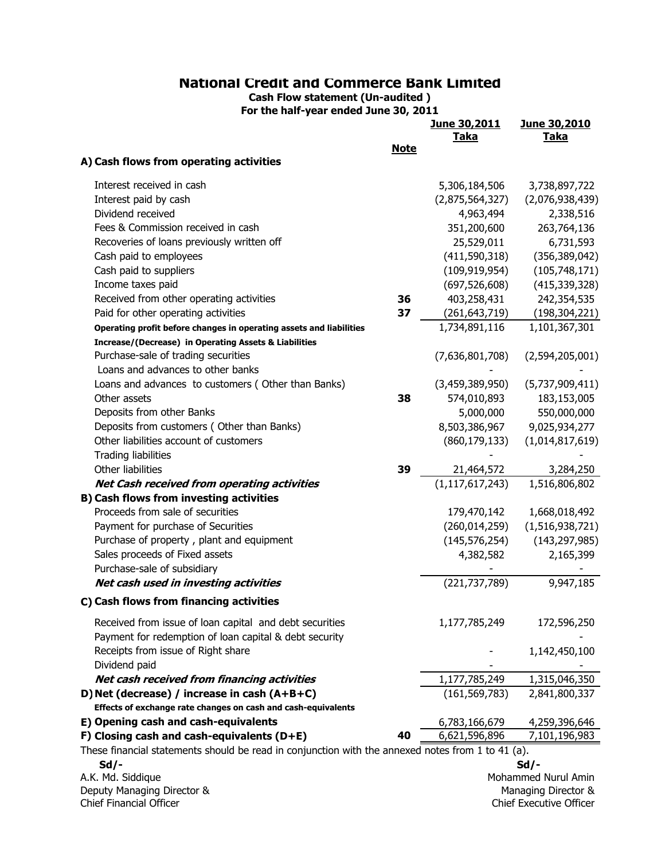Cash Flow statement (Un-audited ) For the half-year ended June 30, 2011

|                                                                                                   |             | June 30,2011<br><b>Taka</b> | June 30,2010<br><b>Taka</b>                           |
|---------------------------------------------------------------------------------------------------|-------------|-----------------------------|-------------------------------------------------------|
|                                                                                                   | <b>Note</b> |                             |                                                       |
| A) Cash flows from operating activities                                                           |             |                             |                                                       |
| Interest received in cash                                                                         |             | 5,306,184,506               | 3,738,897,722                                         |
| Interest paid by cash                                                                             |             | (2,875,564,327)             | (2,076,938,439)                                       |
| Dividend received                                                                                 |             | 4,963,494                   | 2,338,516                                             |
| Fees & Commission received in cash                                                                |             | 351,200,600                 | 263,764,136                                           |
| Recoveries of loans previously written off                                                        |             | 25,529,011                  | 6,731,593                                             |
| Cash paid to employees                                                                            |             | (411, 590, 318)             | (356, 389, 042)                                       |
| Cash paid to suppliers                                                                            |             | (109, 919, 954)             | (105,748,171)                                         |
| Income taxes paid                                                                                 |             | (697, 526, 608)             | (415, 339, 328)                                       |
| Received from other operating activities                                                          | 36          | 403,258,431                 | 242,354,535                                           |
| Paid for other operating activities                                                               | 37          | (261,643,719)               | (198, 304, 221)                                       |
| Operating profit before changes in operating assets and liabilities                               |             | 1,734,891,116               | 1,101,367,301                                         |
| <b>Increase/(Decrease) in Operating Assets &amp; Liabilities</b>                                  |             |                             |                                                       |
| Purchase-sale of trading securities                                                               |             | (7,636,801,708)             | (2,594,205,001)                                       |
| Loans and advances to other banks                                                                 |             |                             |                                                       |
| Loans and advances to customers (Other than Banks)                                                |             | (3,459,389,950)             | (5,737,909,411)                                       |
| Other assets                                                                                      | 38          | 574,010,893                 | 183,153,005                                           |
| Deposits from other Banks                                                                         |             | 5,000,000                   | 550,000,000                                           |
| Deposits from customers (Other than Banks)                                                        |             | 8,503,386,967               | 9,025,934,277                                         |
| Other liabilities account of customers                                                            |             | (860, 179, 133)             | (1,014,817,619)                                       |
| <b>Trading liabilities</b>                                                                        |             |                             |                                                       |
| Other liabilities                                                                                 | 39          | 21,464,572                  | 3,284,250                                             |
| <b>Net Cash received from operating activities</b>                                                |             | (1, 117, 617, 243)          | 1,516,806,802                                         |
| <b>B) Cash flows from investing activities</b>                                                    |             |                             |                                                       |
| Proceeds from sale of securities                                                                  |             | 179,470,142                 | 1,668,018,492                                         |
| Payment for purchase of Securities                                                                |             | (260, 014, 259)             | (1,516,938,721)                                       |
| Purchase of property, plant and equipment                                                         |             | (145, 576, 254)             | (143, 297, 985)                                       |
| Sales proceeds of Fixed assets                                                                    |             | 4,382,582                   | 2,165,399                                             |
| Purchase-sale of subsidiary                                                                       |             |                             |                                                       |
| Net cash used in investing activities                                                             |             | (221, 737, 789)             | 9,947,185                                             |
| C) Cash flows from financing activities                                                           |             |                             |                                                       |
| Received from issue of loan capital and debt securities                                           |             | 1,177,785,249               | 172,596,250                                           |
| Payment for redemption of loan capital & debt security                                            |             |                             |                                                       |
| Receipts from issue of Right share                                                                |             |                             | 1,142,450,100                                         |
| Dividend paid                                                                                     |             |                             |                                                       |
| Net cash received from financing activities                                                       |             | 1,177,785,249               | 1,315,046,350                                         |
| D) Net (decrease) / increase in cash (A+B+C)                                                      |             | (161, 569, 783)             | 2,841,800,337                                         |
| Effects of exchange rate changes on cash and cash-equivalents                                     |             |                             |                                                       |
| E) Opening cash and cash-equivalents                                                              |             | 6,783,166,679               | 4,259,396,646                                         |
| F) Closing cash and cash-equivalents $(D+E)$                                                      | 40          | 6,621,596,896               | 7,101,196,983                                         |
| These financial statements should be read in conjunction with the annexed notes from 1 to 41 (a). |             |                             |                                                       |
| $Sd$ /-                                                                                           |             |                             | Sd/-                                                  |
| A.K. Md. Siddique                                                                                 |             |                             | Mohammed Nurul Amin                                   |
| Deputy Managing Director &<br>Chief Financial Officer                                             |             |                             | Managing Director &<br><b>Chief Executive Officer</b> |
|                                                                                                   |             |                             |                                                       |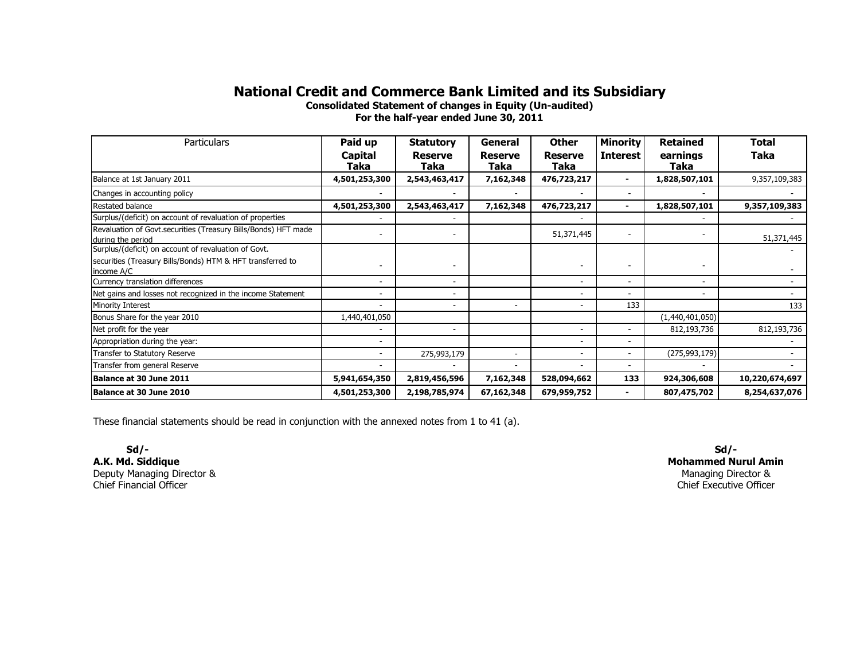Consolidated Statement of changes in Equity (Un-audited)

For the half-year ended June 30, 2011

| Particulars                                                                         | Paid up<br>Capital<br><b>Taka</b> | <b>Statutory</b><br><b>Reserve</b><br>Taka | General<br><b>Reserve</b><br>Taka | <b>Other</b><br><b>Reserve</b><br><b>Taka</b> | <b>Minority</b><br><b>Interest</b> | <b>Retained</b><br>earnings<br>Taka | Total<br>Taka  |
|-------------------------------------------------------------------------------------|-----------------------------------|--------------------------------------------|-----------------------------------|-----------------------------------------------|------------------------------------|-------------------------------------|----------------|
| Balance at 1st January 2011                                                         | 4,501,253,300                     | 2,543,463,417                              | 7,162,348                         | 476,723,217                                   |                                    | 1,828,507,101                       | 9,357,109,383  |
| Changes in accounting policy                                                        |                                   |                                            |                                   |                                               | ٠                                  |                                     |                |
| Restated balance                                                                    | 4,501,253,300                     | 2,543,463,417                              | 7,162,348                         | 476,723,217                                   | $\overline{\phantom{0}}$           | 1,828,507,101                       | 9,357,109,383  |
| Surplus/(deficit) on account of revaluation of properties                           |                                   |                                            |                                   |                                               |                                    |                                     |                |
| Revaluation of Govt.securities (Treasury Bills/Bonds) HFT made<br>during the period |                                   |                                            |                                   | 51,371,445                                    | ٠                                  |                                     | 51,371,445     |
| Surplus/(deficit) on account of revaluation of Govt.                                |                                   |                                            |                                   |                                               |                                    |                                     |                |
| securities (Treasury Bills/Bonds) HTM & HFT transferred to<br>income A/C            |                                   |                                            |                                   |                                               |                                    |                                     |                |
| Currency translation differences                                                    | $\sim$                            | Ξ.                                         |                                   | $\overline{\phantom{0}}$                      | ٠                                  | ۰.                                  |                |
| Net gains and losses not recognized in the income Statement                         |                                   |                                            |                                   |                                               | ۰                                  |                                     |                |
| Minority Interest                                                                   |                                   | $\overline{\phantom{0}}$                   | $\overline{a}$                    |                                               | 133                                |                                     | 133            |
| Bonus Share for the year 2010                                                       | 1,440,401,050                     |                                            |                                   |                                               |                                    | (1,440,401,050)                     |                |
| Net profit for the year                                                             |                                   |                                            |                                   | $\overline{\phantom{0}}$                      | ٠                                  | 812,193,736                         | 812,193,736    |
| Appropriation during the year:                                                      |                                   |                                            |                                   |                                               |                                    |                                     |                |
| Transfer to Statutory Reserve                                                       | $\sim$                            | 275,993,179                                |                                   | ٠                                             | ٠                                  | (275, 993, 179)                     |                |
| Transfer from general Reserve                                                       |                                   |                                            |                                   |                                               |                                    |                                     |                |
| Balance at 30 June 2011                                                             | 5,941,654,350                     | 2,819,456,596                              | 7,162,348                         | 528,094,662                                   | 133                                | 924,306,608                         | 10,220,674,697 |
| Balance at 30 June 2010                                                             | 4,501,253,300                     | 2,198,785,974                              | 67,162,348                        | 679,959,752                                   | $\overline{\phantom{0}}$           | 807,475,702                         | 8,254,637,076  |

These financial statements should be read in conjunction with the annexed notes from 1 to 41 (a).

 Sd/- A.K. Md. Siddique Deputy Managing Director &Chief Financial Officer

Mohammed Nurul AminManaging Director & Chief Executive OfficerSd/-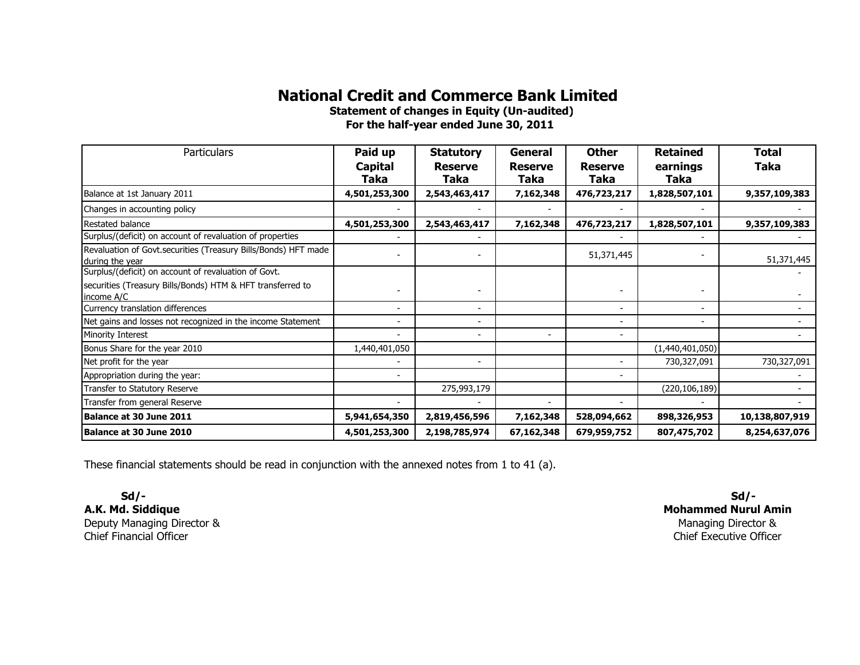Statement of changes in Equity (Un-audited)For the half-year ended June 30, 2011

| <b>Particulars</b>                                                                | Paid up                  | <b>Statutory</b>       | General                | <b>Other</b>           | <b>Retained</b>  | <b>Total</b>   |
|-----------------------------------------------------------------------------------|--------------------------|------------------------|------------------------|------------------------|------------------|----------------|
|                                                                                   | Capital<br>Taka          | <b>Reserve</b><br>Taka | <b>Reserve</b><br>Taka | <b>Reserve</b><br>Taka | earnings<br>Taka | <b>Taka</b>    |
| Balance at 1st January 2011                                                       | 4,501,253,300            | 2,543,463,417          | 7,162,348              | 476,723,217            | 1,828,507,101    | 9,357,109,383  |
| Changes in accounting policy                                                      |                          |                        |                        |                        |                  |                |
| Restated balance                                                                  | 4,501,253,300            | 2,543,463,417          | 7,162,348              | 476,723,217            | 1,828,507,101    | 9,357,109,383  |
| Surplus/(deficit) on account of revaluation of properties                         |                          |                        |                        |                        |                  |                |
| Revaluation of Govt.securities (Treasury Bills/Bonds) HFT made<br>during the year |                          |                        |                        | 51,371,445             |                  | 51,371,445     |
| Surplus/(deficit) on account of revaluation of Govt.                              |                          |                        |                        |                        |                  |                |
| securities (Treasury Bills/Bonds) HTM & HFT transferred to<br>income A/C          |                          |                        |                        |                        |                  |                |
| Currency translation differences                                                  | $\blacksquare$           |                        |                        |                        |                  |                |
| Net gains and losses not recognized in the income Statement                       | $\overline{\phantom{a}}$ |                        |                        |                        |                  |                |
| Minority Interest                                                                 |                          |                        |                        |                        |                  |                |
| Bonus Share for the year 2010                                                     | 1,440,401,050            |                        |                        |                        | (1,440,401,050)  |                |
| Net profit for the year                                                           |                          |                        |                        |                        | 730,327,091      | 730,327,091    |
| Appropriation during the year:                                                    |                          |                        |                        |                        |                  |                |
| Transfer to Statutory Reserve                                                     |                          | 275,993,179            |                        |                        | (220, 106, 189)  |                |
| Transfer from general Reserve                                                     |                          |                        |                        |                        |                  |                |
| Balance at 30 June 2011                                                           | 5,941,654,350            | 2,819,456,596          | 7,162,348              | 528,094,662            | 898,326,953      | 10,138,807,919 |
| Balance at 30 June 2010                                                           | 4,501,253,300            | 2,198,785,974          | 67,162,348             | 679,959,752            | 807,475,702      | 8,254,637,076  |

These financial statements should be read in conjunction with the annexed notes from 1 to 41 (a).

 Sd/- A.K. Md. Siddique Deputy Managing Director &Chief Financial Officer

Mohammed Nurul AminManaging Director & Chief Executive OfficerSd/-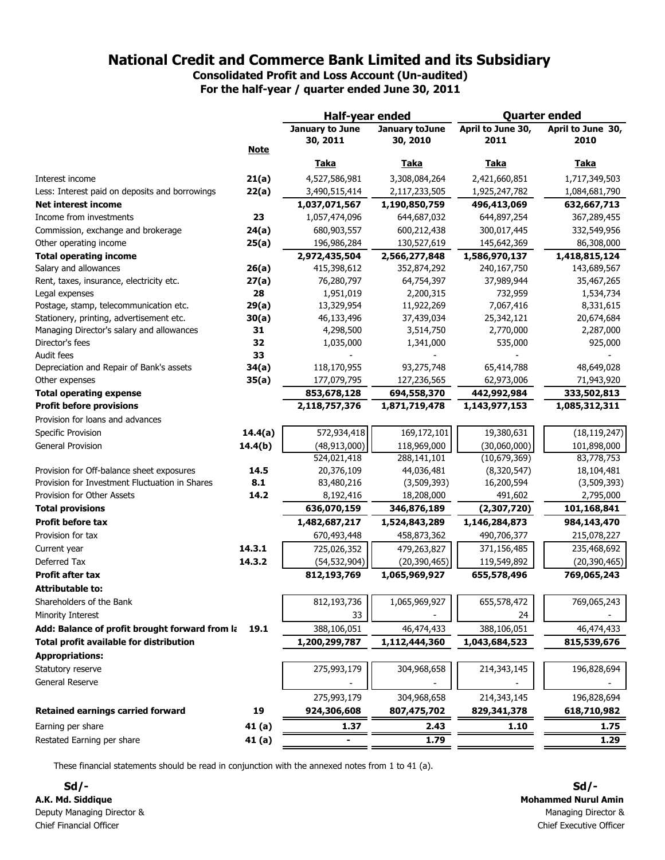Consolidated Profit and Loss Account (Un-audited) For the half-year / quarter ended June 30, 2011

|                                                |             | Half-year ended |                | <b>Quarter ended</b> |                   |  |
|------------------------------------------------|-------------|-----------------|----------------|----------------------|-------------------|--|
|                                                |             | January to June | January toJune | April to June 30,    | April to June 30, |  |
|                                                |             | 30, 2011        | 30, 2010       | 2011                 | 2010              |  |
|                                                | <b>Note</b> |                 |                |                      |                   |  |
|                                                |             | <b>Taka</b>     | <b>Taka</b>    | <u>Taka</u>          | <u>Taka</u>       |  |
| Interest income                                | 21(a)       | 4,527,586,981   | 3,308,084,264  | 2,421,660,851        | 1,717,349,503     |  |
| Less: Interest paid on deposits and borrowings | 22(a)       | 3,490,515,414   | 2,117,233,505  | 1,925,247,782        | 1,084,681,790     |  |
| <b>Net interest income</b>                     |             | 1,037,071,567   | 1,190,850,759  | 496,413,069          | 632,667,713       |  |
| Income from investments                        | 23          | 1,057,474,096   | 644,687,032    | 644,897,254          | 367,289,455       |  |
| Commission, exchange and brokerage             | 24(a)       | 680,903,557     | 600,212,438    | 300,017,445          | 332,549,956       |  |
| Other operating income                         | 25(a)       | 196,986,284     | 130,527,619    | 145,642,369          | 86,308,000        |  |
| <b>Total operating income</b>                  |             | 2,972,435,504   | 2,566,277,848  | 1,586,970,137        | 1,418,815,124     |  |
| Salary and allowances                          | 26(a)       | 415,398,612     | 352,874,292    | 240,167,750          | 143,689,567       |  |
| Rent, taxes, insurance, electricity etc.       | 27(a)       | 76,280,797      | 64,754,397     | 37,989,944           | 35,467,265        |  |
| Legal expenses                                 | 28          | 1,951,019       | 2,200,315      | 732,959              | 1,534,734         |  |
| Postage, stamp, telecommunication etc.         | 29(a)       | 13,329,954      | 11,922,269     | 7,067,416            | 8,331,615         |  |
| Stationery, printing, advertisement etc.       | 30(a)       | 46,133,496      | 37,439,034     | 25,342,121           | 20,674,684        |  |
| Managing Director's salary and allowances      | 31          | 4,298,500       | 3,514,750      | 2,770,000            | 2,287,000         |  |
| Director's fees                                | 32          | 1,035,000       | 1,341,000      | 535,000              | 925,000           |  |
| Audit fees                                     | 33          |                 |                |                      |                   |  |
| Depreciation and Repair of Bank's assets       | 34(a)       | 118,170,955     | 93,275,748     | 65,414,788           | 48,649,028        |  |
| Other expenses                                 | 35(a)       | 177,079,795     | 127,236,565    | 62,973,006           | 71,943,920        |  |
| <b>Total operating expense</b>                 |             | 853,678,128     | 694,558,370    | 442,992,984          | 333,502,813       |  |
| <b>Profit before provisions</b>                |             | 2,118,757,376   | 1,871,719,478  | 1,143,977,153        | 1,085,312,311     |  |
| Provision for loans and advances               |             |                 |                |                      |                   |  |
| Specific Provision                             | 14.4(a)     | 572,934,418     | 169,172,101    | 19,380,631           | (18, 119, 247)    |  |
| <b>General Provision</b>                       | 14.4(b)     | (48, 913, 000)  | 118,969,000    | (30,060,000)         | 101,898,000       |  |
|                                                |             | 524,021,418     | 288,141,101    | (10,679,369)         | 83,778,753        |  |
| Provision for Off-balance sheet exposures      | 14.5        | 20,376,109      | 44,036,481     | (8,320,547)          | 18,104,481        |  |
| Provision for Investment Fluctuation in Shares | 8.1         | 83,480,216      | (3,509,393)    | 16,200,594           | (3,509,393)       |  |
| Provision for Other Assets                     | 14.2        | 8,192,416       | 18,208,000     | 491,602              | 2,795,000         |  |
| <b>Total provisions</b>                        |             | 636,070,159     | 346,876,189    | (2,307,720)          | 101,168,841       |  |
| <b>Profit before tax</b>                       |             | 1,482,687,217   | 1,524,843,289  | 1,146,284,873        | 984,143,470       |  |
| Provision for tax                              |             | 670,493,448     | 458,873,362    | 490,706,377          | 215,078,227       |  |
| Current year                                   | 14.3.1      | 725,026,352     | 479,263,827    | 371,156,485          | 235,468,692       |  |
| Deferred Tax                                   | 14.3.2      | (54, 532, 904)  | (20, 390, 465) | 119,549,892          | (20, 390, 465)    |  |
| <b>Profit after tax</b>                        |             | 812,193,769     | 1,065,969,927  | 655,578,496          | 769,065,243       |  |
| <b>Attributable to:</b>                        |             |                 |                |                      |                   |  |
| Shareholders of the Bank                       |             | 812,193,736     | 1,065,969,927  | 655,578,472          | 769,065,243       |  |
| Minority Interest                              |             | 33              |                | 24                   |                   |  |
| Add: Balance of profit brought forward from la | 19.1        | 388,106,051     | 46,474,433     | 388,106,051          | 46,474,433        |  |
|                                                |             |                 |                |                      |                   |  |
| Total profit available for distribution        |             | 1,200,299,787   | 1,112,444,360  | 1,043,684,523        | 815,539,676       |  |
| <b>Appropriations:</b>                         |             |                 |                |                      |                   |  |
| Statutory reserve                              |             | 275,993,179     | 304,968,658    | 214,343,145          | 196,828,694       |  |
| General Reserve                                |             |                 |                |                      |                   |  |
|                                                |             | 275,993,179     | 304,968,658    | 214,343,145          | 196,828,694       |  |
| <b>Retained earnings carried forward</b>       | 19          | 924,306,608     | 807,475,702    | 829,341,378          | 618,710,982       |  |
| Earning per share                              | 41 (a)      | 1.37            | 2.43           | 1.10                 | 1.75              |  |
| Restated Earning per share                     | 41(a)       |                 | 1.79           |                      | 1.29              |  |
|                                                |             |                 |                |                      |                   |  |

These financial statements should be read in conjunction with the annexed notes from 1 to 41 (a).

Sd/- Sd/- A.K. Md. Siddique Mohammed Nurul Amin Deputy Managing Director & Managing Director & Chief Financial Officer Chief Executive Officer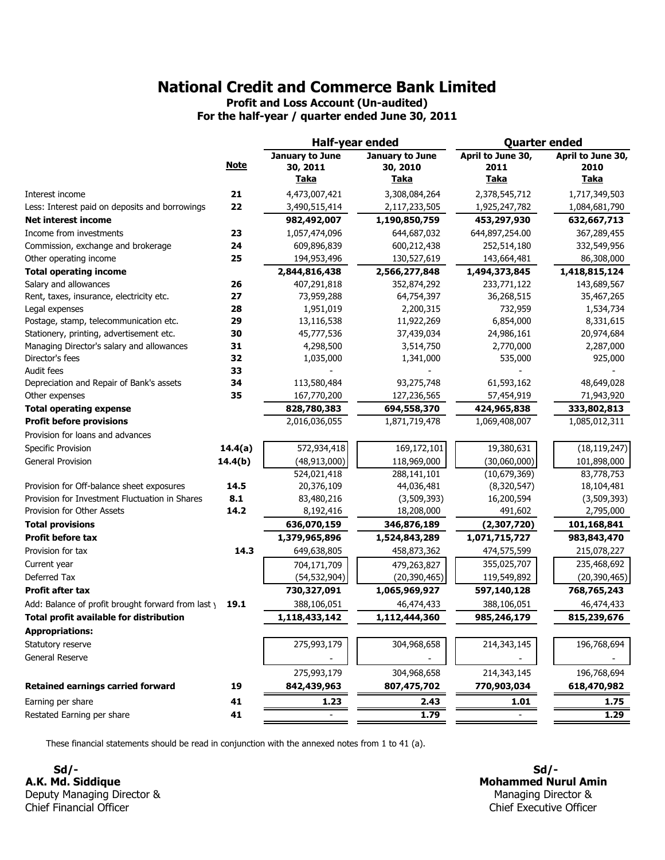Profit and Loss Account (Un-audited)

For the half-year / quarter ended June 30, 2011

|                                                    |             | Half-year ended |                        | <b>Quarter ended</b> |                   |  |
|----------------------------------------------------|-------------|-----------------|------------------------|----------------------|-------------------|--|
|                                                    |             | January to June | <b>January to June</b> | April to June 30,    | April to June 30, |  |
|                                                    | <b>Note</b> | 30, 2011        | 30, 2010               | 2011                 | 2010              |  |
|                                                    |             | <u>Taka</u>     | <u>Taka</u>            | <u>Taka</u>          | <u>Taka</u>       |  |
| Interest income                                    | 21          | 4,473,007,421   | 3,308,084,264          | 2,378,545,712        | 1,717,349,503     |  |
| Less: Interest paid on deposits and borrowings     | 22          | 3,490,515,414   | 2,117,233,505          | 1,925,247,782        | 1,084,681,790     |  |
| <b>Net interest income</b>                         |             | 982,492,007     | 1,190,850,759          | 453,297,930          | 632,667,713       |  |
| Income from investments                            | 23          | 1,057,474,096   | 644,687,032            | 644,897,254.00       | 367,289,455       |  |
| Commission, exchange and brokerage                 | 24          | 609,896,839     | 600,212,438            | 252,514,180          | 332,549,956       |  |
| Other operating income                             | 25          | 194,953,496     | 130,527,619            | 143,664,481          | 86,308,000        |  |
| <b>Total operating income</b>                      |             | 2,844,816,438   | 2,566,277,848          | 1,494,373,845        | 1,418,815,124     |  |
| Salary and allowances                              | 26          | 407,291,818     | 352,874,292            | 233,771,122          | 143,689,567       |  |
| Rent, taxes, insurance, electricity etc.           | 27          | 73,959,288      | 64,754,397             | 36,268,515           | 35,467,265        |  |
| Legal expenses                                     | 28          | 1,951,019       | 2,200,315              | 732,959              | 1,534,734         |  |
| Postage, stamp, telecommunication etc.             | 29          | 13,116,538      | 11,922,269             | 6,854,000            | 8,331,615         |  |
| Stationery, printing, advertisement etc.           | 30          | 45,777,536      | 37,439,034             | 24,986,161           | 20,974,684        |  |
| Managing Director's salary and allowances          | 31          | 4,298,500       | 3,514,750              | 2,770,000            | 2,287,000         |  |
| Director's fees                                    | 32          | 1,035,000       | 1,341,000              | 535,000              | 925,000           |  |
| Audit fees                                         | 33          |                 |                        |                      |                   |  |
| Depreciation and Repair of Bank's assets           | 34          | 113,580,484     | 93,275,748             | 61,593,162           | 48,649,028        |  |
| Other expenses                                     | 35          | 167,770,200     | 127,236,565            | 57,454,919           | 71,943,920        |  |
| <b>Total operating expense</b>                     |             | 828,780,383     | 694,558,370            | 424,965,838          | 333,802,813       |  |
| <b>Profit before provisions</b>                    |             | 2,016,036,055   | 1,871,719,478          | 1,069,408,007        | 1,085,012,311     |  |
| Provision for loans and advances                   |             |                 |                        |                      |                   |  |
| Specific Provision                                 | 14.4(a)     | 572,934,418     | 169,172,101            | 19,380,631           | (18, 119, 247)    |  |
| <b>General Provision</b>                           | 14.4(b)     | (48, 913, 000)  | 118,969,000            | (30,060,000)         | 101,898,000       |  |
|                                                    |             | 524,021,418     | 288,141,101            | (10,679,369)         | 83,778,753        |  |
| Provision for Off-balance sheet exposures          | 14.5        | 20,376,109      | 44,036,481             | (8,320,547)          | 18,104,481        |  |
| Provision for Investment Fluctuation in Shares     | 8.1         | 83,480,216      | (3,509,393)            | 16,200,594           | (3,509,393)       |  |
| Provision for Other Assets                         | 14.2        | 8,192,416       | 18,208,000             | 491,602              | 2,795,000         |  |
| <b>Total provisions</b>                            |             | 636,070,159     | 346,876,189            | (2,307,720)          | 101,168,841       |  |
| <b>Profit before tax</b>                           |             | 1,379,965,896   | 1,524,843,289          | 1,071,715,727        | 983,843,470       |  |
| Provision for tax                                  | 14.3        | 649,638,805     | 458,873,362            | 474,575,599          | 215,078,227       |  |
| Current year                                       |             | 704,171,709     | 479,263,827            | 355,025,707          | 235,468,692       |  |
| Deferred Tax                                       |             | (54, 532, 904)  | (20, 390, 465)         | 119,549,892          | (20, 390, 465)    |  |
| <b>Profit after tax</b>                            |             | 730,327,091     | 1,065,969,927          | 597,140,128          | 768,765,243       |  |
| Add: Balance of profit brought forward from last y | 19.1        | 388,106,051     | 46,474,433             | 388,106,051          | 46,474,433        |  |
| <b>Total profit available for distribution</b>     |             | 1,118,433,142   | 1,112,444,360          | 985,246,179          | 815,239,676       |  |
| <b>Appropriations:</b>                             |             |                 |                        |                      |                   |  |
| Statutory reserve                                  |             | 275,993,179     | 304,968,658            | 214,343,145          | 196,768,694       |  |
| General Reserve                                    |             |                 |                        |                      |                   |  |
|                                                    |             |                 |                        |                      |                   |  |
|                                                    |             | 275,993,179     | 304,968,658            | 214,343,145          | 196,768,694       |  |
| <b>Retained earnings carried forward</b>           | 19          | 842,439,963     | 807,475,702            | 770,903,034          | 618,470,982       |  |
| Earning per share                                  | 41          | 1.23            | 2.43                   | 1.01                 | 1.75              |  |
| Restated Earning per share                         | 41          |                 | 1.79                   |                      | 1.29              |  |

These financial statements should be read in conjunction with the annexed notes from 1 to 41 (a).

Sd/- Sd/- A.K. Md. Siddique Deputy Managing Director & Chief Financial Officer

Mohammed Nurul Amin Managing Director & Chief Executive Officer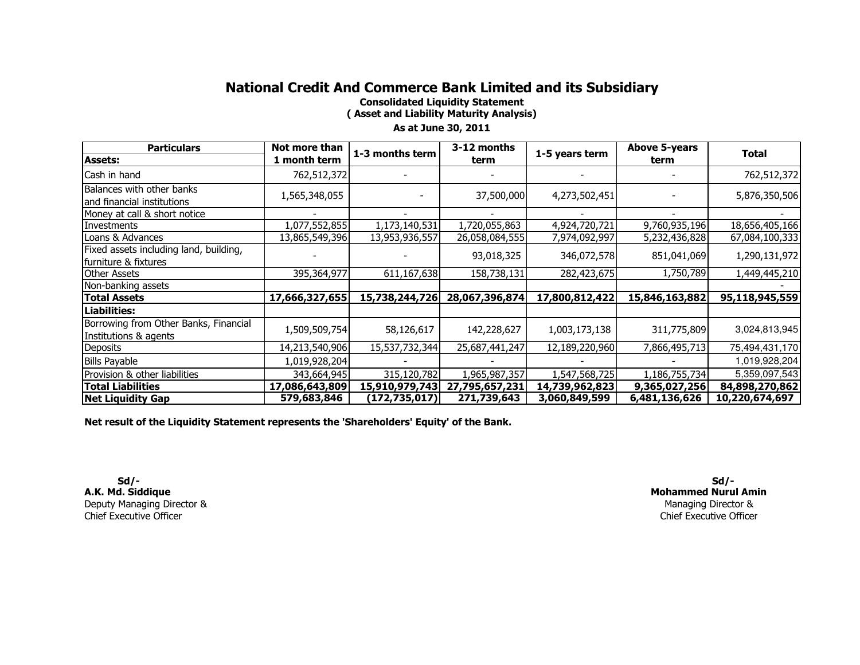Consolidated Liquidity Statement

( Asset and Liability Maturity Analysis)

#### As at June 30, 2011

| <b>Particulars</b>                                             | Not more than  | 1-3 months term | 3-12 months    | 1-5 years term | <b>Above 5-years</b> | <b>Total</b>   |
|----------------------------------------------------------------|----------------|-----------------|----------------|----------------|----------------------|----------------|
| <b>Assets:</b>                                                 | 1 month term   |                 | term           |                | term                 |                |
| Cash in hand                                                   | 762,512,372    |                 |                |                |                      | 762,512,372    |
| Balances with other banks<br>and financial institutions        | 1,565,348,055  |                 | 37,500,000     | 4,273,502,451  |                      | 5,876,350,506  |
| Money at call & short notice                                   |                |                 |                |                |                      |                |
| Investments                                                    | 1,077,552,855  | 1,173,140,531   | 1,720,055,863  | 4,924,720,721  | 9,760,935,196        | 18,656,405,166 |
| Loans & Advances                                               | 13,865,549,396 | 13,953,936,557  | 26,058,084,555 | 7,974,092,997  | 5,232,436,828        | 67,084,100,333 |
| Fixed assets including land, building,<br>furniture & fixtures |                |                 | 93,018,325     | 346,072,578    | 851,041,069          | 1,290,131,972  |
| <b>Other Assets</b>                                            | 395,364,977    | 611,167,638     | 158,738,131    | 282,423,675    | 1,750,789            | 1,449,445,210  |
| Non-banking assets                                             |                |                 |                |                |                      |                |
| <b>Total Assets</b>                                            | 17,666,327,655 | 15,738,244,726  | 28,067,396,874 | 17,800,812,422 | 15,846,163,882       | 95,118,945,559 |
| <b>Liabilities:</b>                                            |                |                 |                |                |                      |                |
| Borrowing from Other Banks, Financial<br>Institutions & agents | 1,509,509,754  | 58,126,617      | 142,228,627    | 1,003,173,138  | 311,775,809          | 3,024,813,945  |
| <b>Deposits</b>                                                | 14,213,540,906 | 15,537,732,344  | 25,687,441,247 | 12,189,220,960 | 7,866,495,713        | 75,494,431,170 |
| <b>Bills Payable</b>                                           | 1,019,928,204  |                 |                |                |                      | 1,019,928,204  |
| Provision & other liabilities                                  | 343,664,945    | 315,120,782     | 1,965,987,357  | 1,547,568,725  | 1,186,755,734        | 5,359,097,543  |
| <b>Total Liabilities</b>                                       | 17,086,643,809 | 15,910,979,743  | 27,795,657,231 | 14,739,962,823 | 9,365,027,256        | 84,898,270,862 |
| <b>Net Liquidity Gap</b>                                       | 579,683,846    | (172, 735, 017) | 271,739,643    | 3,060,849,599  | 6,481,136,626        | 10,220,674,697 |

Net result of the Liquidity Statement represents the 'Shareholders' Equity' of the Bank.

 Sd/- A.K. Md. Siddique Deputy Managing Director &Chief Executive Officer

Managing Director & Chief Executive OfficerMohammed Nurul AminSd/-